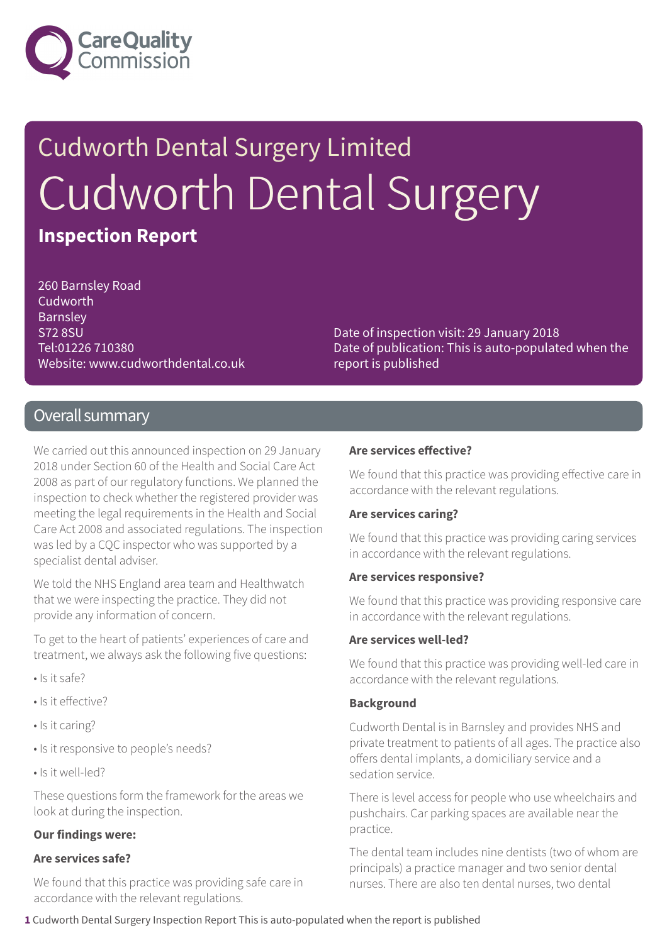

# Cudworth Dental Surgery Limited Cudworth Dental Surgery **Inspection Report**

260 Barnsley Road Cudworth Barnsley S72 8SU Tel:01226 710380 Website: www.cudworthdental.co.uk

Date of inspection visit: 29 January 2018 Date of publication: This is auto-populated when the report is published

#### Overall summary

We carried out this announced inspection on 29 January 2018 under Section 60 of the Health and Social Care Act 2008 as part of our regulatory functions. We planned the inspection to check whether the registered provider was meeting the legal requirements in the Health and Social Care Act 2008 and associated regulations. The inspection was led by a CQC inspector who was supported by a specialist dental adviser.

We told the NHS England area team and Healthwatch that we were inspecting the practice. They did not provide any information of concern.

To get to the heart of patients' experiences of care and treatment, we always ask the following five questions:

- Is it safe?
- Is it effective?
- Is it caring?
- Is it responsive to people's needs?
- Is it well-led?

These questions form the framework for the areas we look at during the inspection.

#### **Our findings were:**

#### **Are services safe?**

We found that this practice was providing safe care in accordance with the relevant regulations.

#### **Are services effective?**

We found that this practice was providing effective care in accordance with the relevant regulations.

#### **Are services caring?**

We found that this practice was providing caring services in accordance with the relevant regulations.

#### **Are services responsive?**

We found that this practice was providing responsive care in accordance with the relevant regulations.

#### **Are services well-led?**

We found that this practice was providing well-led care in accordance with the relevant regulations.

#### **Background**

Cudworth Dental is in Barnsley and provides NHS and private treatment to patients of all ages. The practice also offers dental implants, a domiciliary service and a sedation service.

There is level access for people who use wheelchairs and pushchairs. Car parking spaces are available near the practice.

The dental team includes nine dentists (two of whom are principals) a practice manager and two senior dental nurses. There are also ten dental nurses, two dental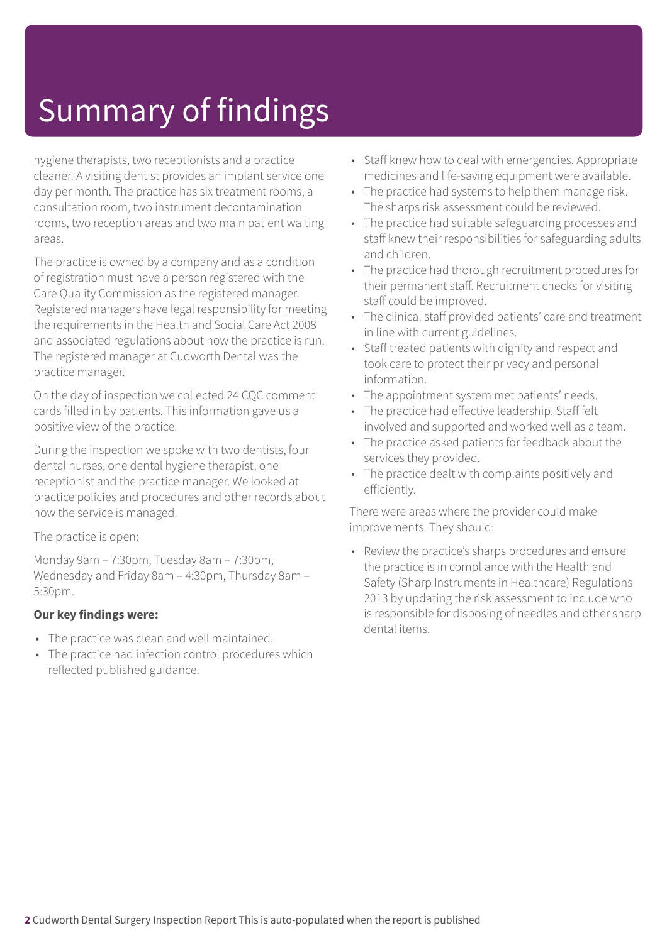# Summary of findings

hygiene therapists, two receptionists and a practice cleaner. A visiting dentist provides an implant service one day per month. The practice has six treatment rooms, a consultation room, two instrument decontamination rooms, two reception areas and two main patient waiting areas.

The practice is owned by a company and as a condition of registration must have a person registered with the Care Quality Commission as the registered manager. Registered managers have legal responsibility for meeting the requirements in the Health and Social Care Act 2008 and associated regulations about how the practice is run. The registered manager at Cudworth Dental was the practice manager.

On the day of inspection we collected 24 CQC comment cards filled in by patients. This information gave us a positive view of the practice.

During the inspection we spoke with two dentists, four dental nurses, one dental hygiene therapist, one receptionist and the practice manager. We looked at practice policies and procedures and other records about how the service is managed.

#### The practice is open:

Monday 9am – 7:30pm, Tuesday 8am – 7:30pm, Wednesday and Friday 8am – 4:30pm, Thursday 8am – 5:30pm.

#### **Our key findings were:**

- The practice was clean and well maintained.
- The practice had infection control procedures which reflected published guidance.
- Staff knew how to deal with emergencies. Appropriate medicines and life-saving equipment were available.
- The practice had systems to help them manage risk. The sharps risk assessment could be reviewed.
- The practice had suitable safeguarding processes and staff knew their responsibilities for safeguarding adults and children.
- The practice had thorough recruitment procedures for their permanent staff. Recruitment checks for visiting staff could be improved.
- The clinical staff provided patients' care and treatment in line with current guidelines.
- Staff treated patients with dignity and respect and took care to protect their privacy and personal information.
- The appointment system met patients' needs.
- The practice had effective leadership. Staff felt involved and supported and worked well as a team.
- The practice asked patients for feedback about the services they provided.
- The practice dealt with complaints positively and efficiently.

There were areas where the provider could make improvements. They should:

• Review the practice's sharps procedures and ensure the practice is in compliance with the Health and Safety (Sharp Instruments in Healthcare) Regulations 2013 by updating the risk assessment to include who is responsible for disposing of needles and other sharp dental items.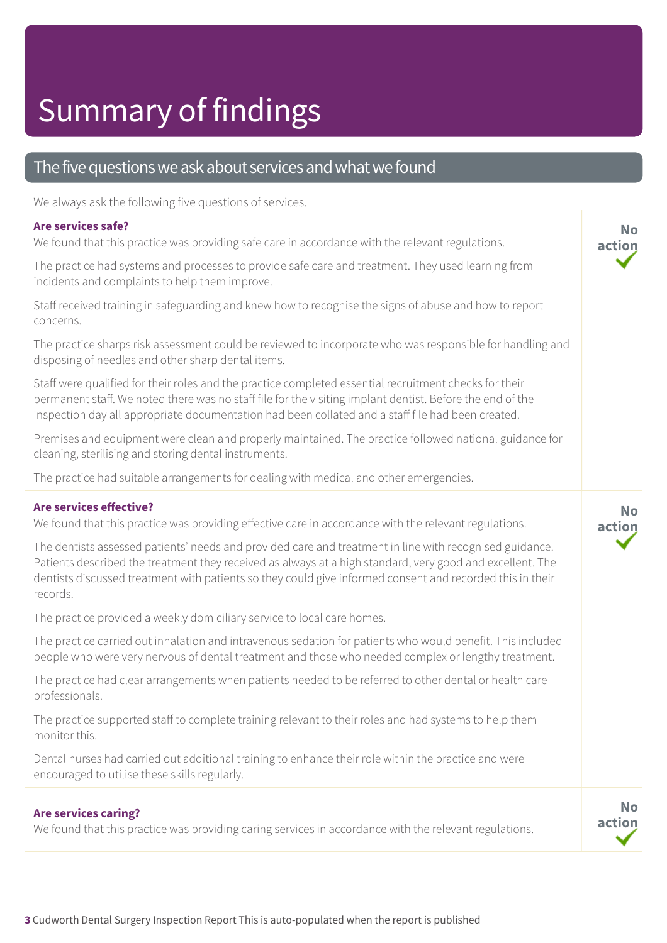# Summary of findings

#### The five questions we ask about services and what we found

We always ask the following five questions of services.

#### **Are services safe?**

We found that this practice was providing safe care in accordance with the relevant regulations.

The practice had systems and processes to provide safe care and treatment. They used learning from incidents and complaints to help them improve.

Staff received training in safeguarding and knew how to recognise the signs of abuse and how to report concerns.

The practice sharps risk assessment could be reviewed to incorporate who was responsible for handling and disposing of needles and other sharp dental items.

Staff were qualified for their roles and the practice completed essential recruitment checks for their permanent staff. We noted there was no staff file for the visiting implant dentist. Before the end of the inspection day all appropriate documentation had been collated and a staff file had been created.

Premises and equipment were clean and properly maintained. The practice followed national guidance for cleaning, sterilising and storing dental instruments.

The practice had suitable arrangements for dealing with medical and other emergencies.

#### **Are services effective?**

We found that this practice was providing effective care in accordance with the relevant regulations.

The dentists assessed patients' needs and provided care and treatment in line with recognised guidance. Patients described the treatment they received as always at a high standard, very good and excellent. The dentists discussed treatment with patients so they could give informed consent and recorded this in their records.

The practice provided a weekly domiciliary service to local care homes.

The practice carried out inhalation and intravenous sedation for patients who would benefit. This included people who were very nervous of dental treatment and those who needed complex or lengthy treatment.

The practice had clear arrangements when patients needed to be referred to other dental or health care professionals.

The practice supported staff to complete training relevant to their roles and had systems to help them monitor this.

Dental nurses had carried out additional training to enhance their role within the practice and were encouraged to utilise these skills regularly.

#### **Are services caring?**

We found that this practice was providing caring services in accordance with the relevant regulations.

**No action**

**No action**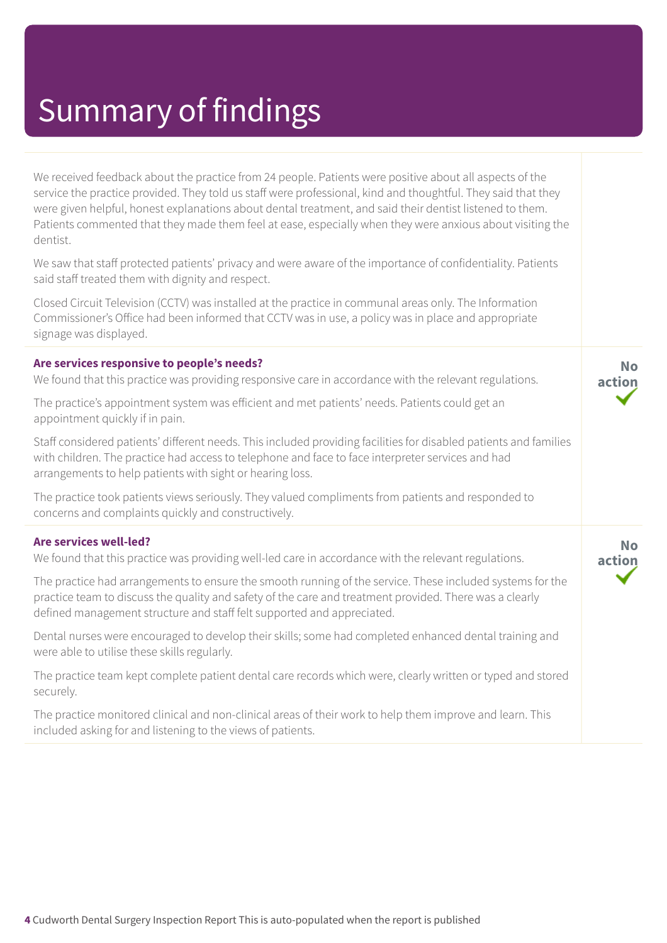### Summary of findings

We received feedback about the practice from 24 people. Patients were positive about all aspects of the service the practice provided. They told us staff were professional, kind and thoughtful. They said that they were given helpful, honest explanations about dental treatment, and said their dentist listened to them. Patients commented that they made them feel at ease, especially when they were anxious about visiting the dentist.

We saw that staff protected patients' privacy and were aware of the importance of confidentiality. Patients said staff treated them with dignity and respect.

Closed Circuit Television (CCTV) was installed at the practice in communal areas only. The Information Commissioner's Office had been informed that CCTV was in use, a policy was in place and appropriate signage was displayed.

**Are services responsive to people's needs?** We found that this practice was providing responsive care in accordance with the relevant regulations.

The practice's appointment system was efficient and met patients' needs. Patients could get an appointment quickly if in pain.

Staff considered patients' different needs. This included providing facilities for disabled patients and families with children. The practice had access to telephone and face to face interpreter services and had arrangements to help patients with sight or hearing loss.

**No action**

**No action**

The practice took patients views seriously. They valued compliments from patients and responded to concerns and complaints quickly and constructively.

#### **Are services well-led?**

We found that this practice was providing well-led care in accordance with the relevant regulations.

The practice had arrangements to ensure the smooth running of the service. These included systems for the practice team to discuss the quality and safety of the care and treatment provided. There was a clearly defined management structure and staff felt supported and appreciated.

Dental nurses were encouraged to develop their skills; some had completed enhanced dental training and were able to utilise these skills regularly.

The practice team kept complete patient dental care records which were, clearly written or typed and stored securely.

The practice monitored clinical and non-clinical areas of their work to help them improve and learn. This included asking for and listening to the views of patients.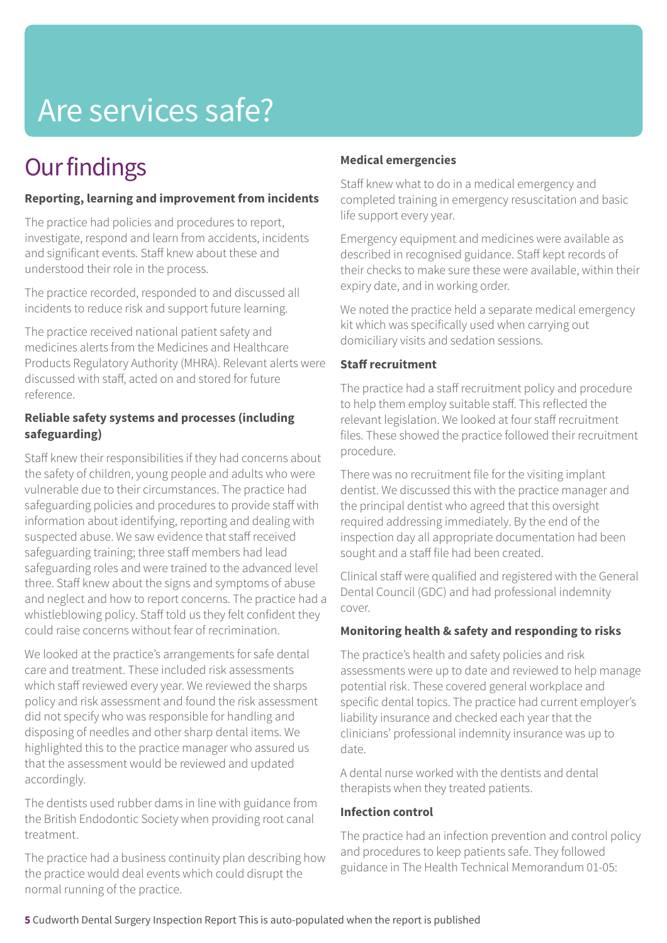# Are services safe?

### **Our findings**

#### **Reporting, learning and improvement from incidents**

The practice had policies and procedures to report, investigate, respond and learn from accidents, incidents and significant events. Staff knew about these and understood their role in the process.

The practice recorded, responded to and discussed all incidents to reduce risk and support future learning.

The practice received national patient safety and medicines alerts from the Medicines and Healthcare Products Regulatory Authority (MHRA). Relevant alerts were discussed with staff, acted on and stored for future reference.

#### **Reliable safety systems and processes (including safeguarding)**

Staff knew their responsibilities if they had concerns about the safety of children, young people and adults who were vulnerable due to their circumstances. The practice had safeguarding policies and procedures to provide staff with information about identifying, reporting and dealing with suspected abuse. We saw evidence that staff received safeguarding training; three staff members had lead safeguarding roles and were trained to the advanced level three. Staff knew about the signs and symptoms of abuse and neglect and how to report concerns. The practice had a whistleblowing policy. Staff told us they felt confident they could raise concerns without fear of recrimination.

We looked at the practice's arrangements for safe dental care and treatment. These included risk assessments which staff reviewed every year. We reviewed the sharps policy and risk assessment and found the risk assessment did not specify who was responsible for handling and disposing of needles and other sharp dental items. We highlighted this to the practice manager who assured us that the assessment would be reviewed and updated accordingly.

The dentists used rubber dams in line with guidance from the British Endodontic Society when providing root canal treatment.

The practice had a business continuity plan describing how the practice would deal events which could disrupt the normal running of the practice.

#### **Medical emergencies**

Staff knew what to do in a medical emergency and completed training in emergency resuscitation and basic life support every year.

Emergency equipment and medicines were available as described in recognised guidance. Staff kept records of their checks to make sure these were available, within their expiry date, and in working order.

We noted the practice held a separate medical emergency kit which was specifically used when carrying out domiciliary visits and sedation sessions.

#### **Staff recruitment**

The practice had a staff recruitment policy and procedure to help them employ suitable staff. This reflected the relevant legislation. We looked at four staff recruitment files. These showed the practice followed their recruitment procedure.

There was no recruitment file for the visiting implant dentist. We discussed this with the practice manager and the principal dentist who agreed that this oversight required addressing immediately. By the end of the inspection day all appropriate documentation had been sought and a staff file had been created.

Clinical staff were qualified and registered with the General Dental Council (GDC) and had professional indemnity cover.

#### **Monitoring health & safety and responding to risks**

The practice's health and safety policies and risk assessments were up to date and reviewed to help manage potential risk. These covered general workplace and specific dental topics. The practice had current employer's liability insurance and checked each year that the clinicians' professional indemnity insurance was up to date.

A dental nurse worked with the dentists and dental therapists when they treated patients.

#### **Infection control**

The practice had an infection prevention and control policy and procedures to keep patients safe. They followed guidance in The Health Technical Memorandum 01-05: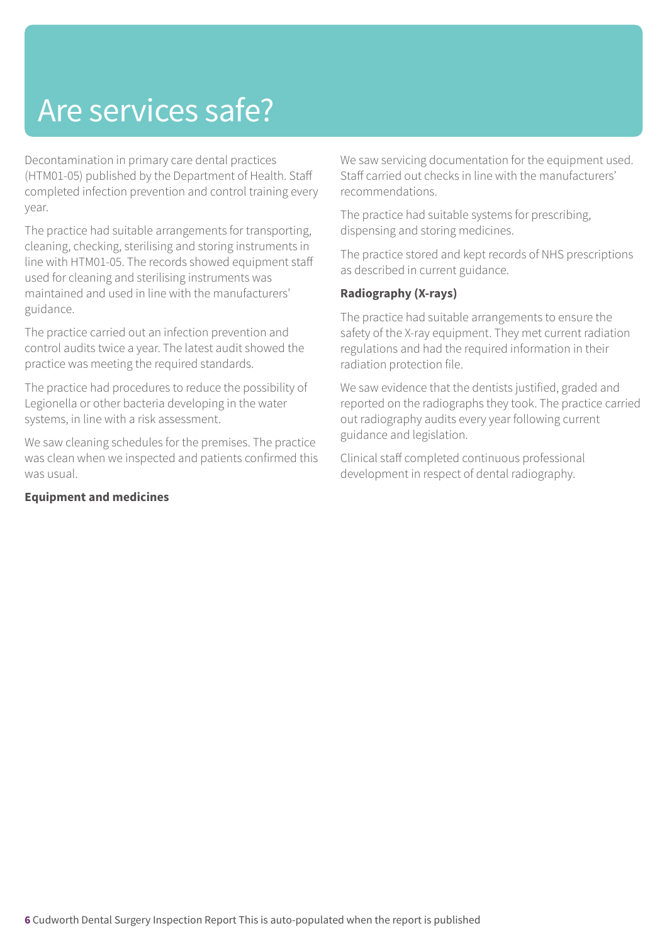### Are services safe?

Decontamination in primary care dental practices (HTM01-05) published by the Department of Health. Staff completed infection prevention and control training every year.

The practice had suitable arrangements for transporting, cleaning, checking, sterilising and storing instruments in line with HTM01-05. The records showed equipment staff used for cleaning and sterilising instruments was maintained and used in line with the manufacturers' guidance.

The practice carried out an infection prevention and control audits twice a year. The latest audit showed the practice was meeting the required standards.

The practice had procedures to reduce the possibility of Legionella or other bacteria developing in the water systems, in line with a risk assessment.

We saw cleaning schedules for the premises. The practice was clean when we inspected and patients confirmed this was usual.

#### **Equipment and medicines**

We saw servicing documentation for the equipment used. Staff carried out checks in line with the manufacturers' recommendations.

The practice had suitable systems for prescribing, dispensing and storing medicines.

The practice stored and kept records of NHS prescriptions as described in current guidance.

#### **Radiography (X-rays)**

The practice had suitable arrangements to ensure the safety of the X-ray equipment. They met current radiation regulations and had the required information in their radiation protection file.

We saw evidence that the dentists justified, graded and reported on the radiographs they took. The practice carried out radiography audits every year following current guidance and legislation.

Clinical staff completed continuous professional development in respect of dental radiography.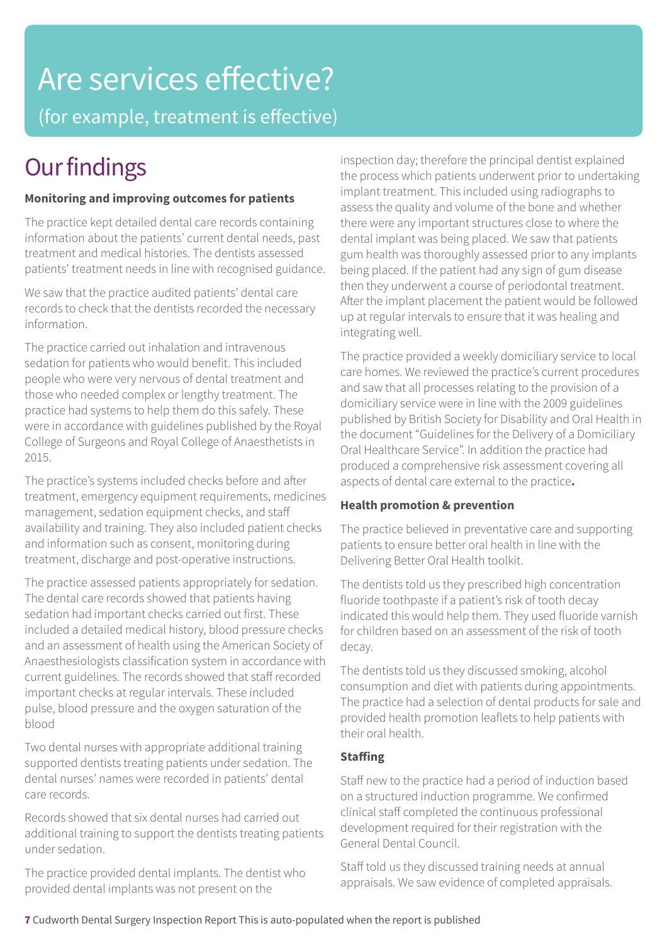# Are services effective?

(for example, treatment is effective)

### **Our findings**

#### **Monitoring and improving outcomes for patients**

The practice kept detailed dental care records containing information about the patients' current dental needs, past treatment and medical histories. The dentists assessed patients' treatment needs in line with recognised guidance.

We saw that the practice audited patients' dental care records to check that the dentists recorded the necessary information.

The practice carried out inhalation and intravenous sedation for patients who would benefit. This included people who were very nervous of dental treatment and those who needed complex or lengthy treatment. The practice had systems to help them do this safely. These were in accordance with guidelines published by the Royal College of Surgeons and Royal College of Anaesthetists in 2015.

The practice's systems included checks before and after treatment, emergency equipment requirements, medicines management, sedation equipment checks, and staff availability and training. They also included patient checks and information such as consent, monitoring during treatment, discharge and post-operative instructions.

The practice assessed patients appropriately for sedation. The dental care records showed that patients having sedation had important checks carried out first. These included a detailed medical history, blood pressure checks and an assessment of health using the American Society of Anaesthesiologists classification system in accordance with current guidelines. The records showed that staff recorded important checks at regular intervals. These included pulse, blood pressure and the oxygen saturation of the blood

Two dental nurses with appropriate additional training supported dentists treating patients under sedation. The dental nurses' names were recorded in patients' dental care records.

Records showed that six dental nurses had carried out additional training to support the dentists treating patients under sedation.

The practice provided dental implants. The dentist who provided dental implants was not present on the

inspection day; therefore the principal dentist explained the process which patients underwent prior to undertaking implant treatment. This included using radiographs to assess the quality and volume of the bone and whether there were any important structures close to where the dental implant was being placed. We saw that patients gum health was thoroughly assessed prior to any implants being placed. If the patient had any sign of gum disease then they underwent a course of periodontal treatment. After the implant placement the patient would be followed up at regular intervals to ensure that it was healing and integrating well.

The practice provided a weekly domiciliary service to local care homes. We reviewed the practice's current procedures and saw that all processes relating to the provision of a domiciliary service were in line with the 2009 guidelines published by British Society for Disability and Oral Health in the document "Guidelines for the Delivery of a Domiciliary Oral Healthcare Service". In addition the practice had produced a comprehensive risk assessment covering all aspects of dental care external to the practice**.**

#### **Health promotion & prevention**

The practice believed in preventative care and supporting patients to ensure better oral health in line with the Delivering Better Oral Health toolkit.

The dentists told us they prescribed high concentration fluoride toothpaste if a patient's risk of tooth decay indicated this would help them. They used fluoride varnish for children based on an assessment of the risk of tooth decay.

The dentists told us they discussed smoking, alcohol consumption and diet with patients during appointments. The practice had a selection of dental products for sale and provided health promotion leaflets to help patients with their oral health.

#### **Staffing**

Staff new to the practice had a period of induction based on a structured induction programme. We confirmed clinical staff completed the continuous professional development required for their registration with the General Dental Council.

Staff told us they discussed training needs at annual appraisals. We saw evidence of completed appraisals.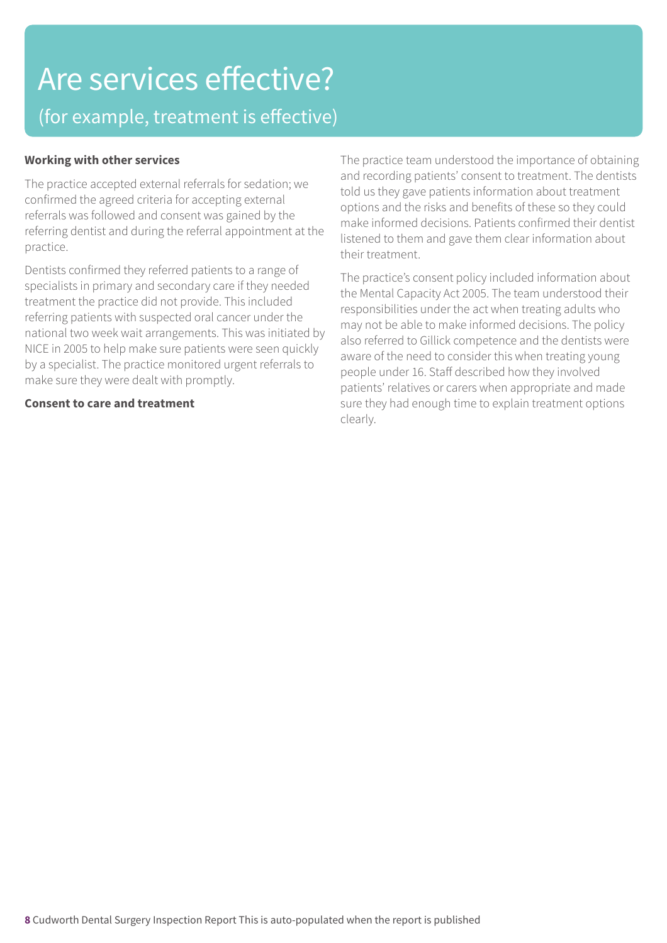### Are services effective? (for example, treatment is effective)

#### **Working with other services**

The practice accepted external referrals for sedation; we confirmed the agreed criteria for accepting external referrals was followed and consent was gained by the referring dentist and during the referral appointment at the practice.

Dentists confirmed they referred patients to a range of specialists in primary and secondary care if they needed treatment the practice did not provide. This included referring patients with suspected oral cancer under the national two week wait arrangements. This was initiated by NICE in 2005 to help make sure patients were seen quickly by a specialist. The practice monitored urgent referrals to make sure they were dealt with promptly.

#### **Consent to care and treatment**

The practice team understood the importance of obtaining and recording patients' consent to treatment. The dentists told us they gave patients information about treatment options and the risks and benefits of these so they could make informed decisions. Patients confirmed their dentist listened to them and gave them clear information about their treatment.

The practice's consent policy included information about the Mental Capacity Act 2005. The team understood their responsibilities under the act when treating adults who may not be able to make informed decisions. The policy also referred to Gillick competence and the dentists were aware of the need to consider this when treating young people under 16. Staff described how they involved patients' relatives or carers when appropriate and made sure they had enough time to explain treatment options clearly.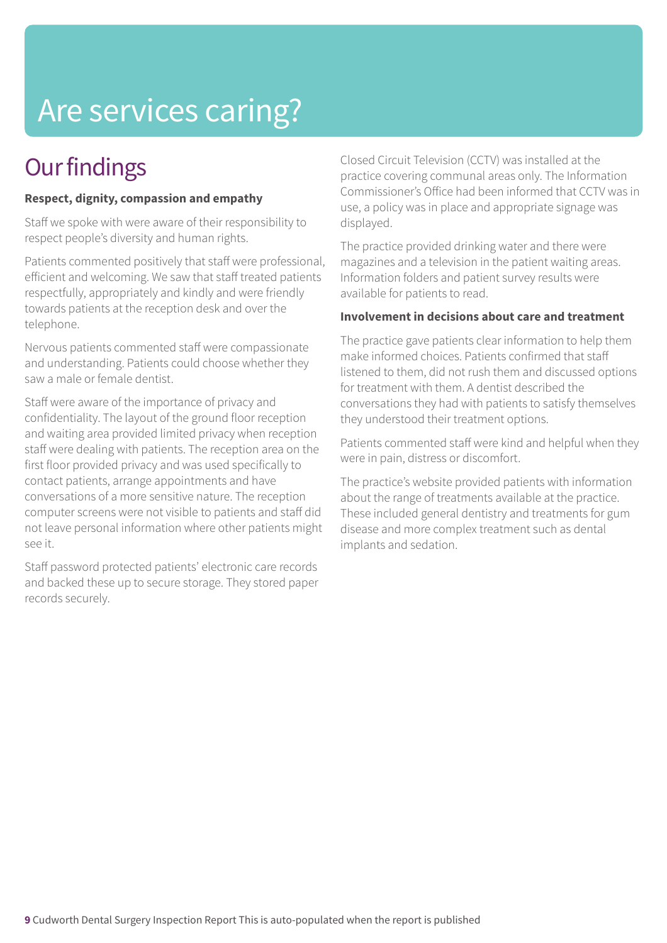### Are services caring?

### **Our findings**

#### **Respect, dignity, compassion and empathy**

Staff we spoke with were aware of their responsibility to respect people's diversity and human rights.

Patients commented positively that staff were professional, efficient and welcoming. We saw that staff treated patients respectfully, appropriately and kindly and were friendly towards patients at the reception desk and over the telephone.

Nervous patients commented staff were compassionate and understanding. Patients could choose whether they saw a male or female dentist.

Staff were aware of the importance of privacy and confidentiality. The layout of the ground floor reception and waiting area provided limited privacy when reception staff were dealing with patients. The reception area on the first floor provided privacy and was used specifically to contact patients, arrange appointments and have conversations of a more sensitive nature. The reception computer screens were not visible to patients and staff did not leave personal information where other patients might see it.

Staff password protected patients' electronic care records and backed these up to secure storage. They stored paper records securely.

Closed Circuit Television (CCTV) was installed at the practice covering communal areas only. The Information Commissioner's Office had been informed that CCTV was in use, a policy was in place and appropriate signage was displayed.

The practice provided drinking water and there were magazines and a television in the patient waiting areas. Information folders and patient survey results were available for patients to read.

#### **Involvement in decisions about care and treatment**

The practice gave patients clear information to help them make informed choices. Patients confirmed that staff listened to them, did not rush them and discussed options for treatment with them. A dentist described the conversations they had with patients to satisfy themselves they understood their treatment options.

Patients commented staff were kind and helpful when they were in pain, distress or discomfort.

The practice's website provided patients with information about the range of treatments available at the practice. These included general dentistry and treatments for gum disease and more complex treatment such as dental implants and sedation.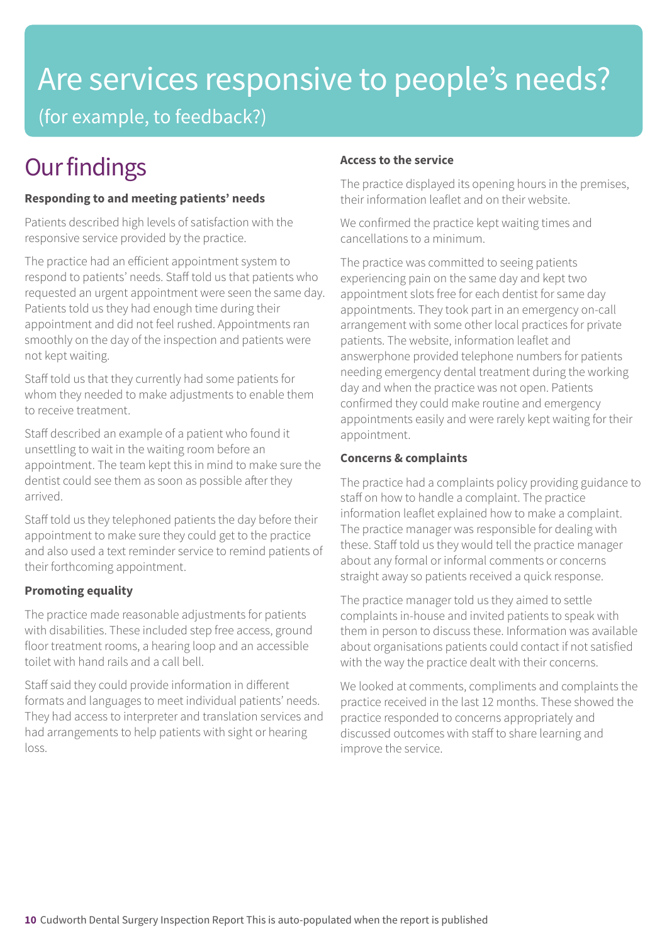# Are services responsive to people's needs?

(for example, to feedback?)

### **Our findings**

#### **Responding to and meeting patients' needs**

Patients described high levels of satisfaction with the responsive service provided by the practice.

The practice had an efficient appointment system to respond to patients' needs. Staff told us that patients who requested an urgent appointment were seen the same day. Patients told us they had enough time during their appointment and did not feel rushed. Appointments ran smoothly on the day of the inspection and patients were not kept waiting.

Staff told us that they currently had some patients for whom they needed to make adjustments to enable them to receive treatment.

Staff described an example of a patient who found it unsettling to wait in the waiting room before an appointment. The team kept this in mind to make sure the dentist could see them as soon as possible after they arrived.

Staff told us they telephoned patients the day before their appointment to make sure they could get to the practice and also used a text reminder service to remind patients of their forthcoming appointment.

#### **Promoting equality**

The practice made reasonable adjustments for patients with disabilities. These included step free access, ground floor treatment rooms, a hearing loop and an accessible toilet with hand rails and a call bell.

Staff said they could provide information in different formats and languages to meet individual patients' needs. They had access to interpreter and translation services and had arrangements to help patients with sight or hearing loss.

#### **Access to the service**

The practice displayed its opening hours in the premises, their information leaflet and on their website.

We confirmed the practice kept waiting times and cancellations to a minimum.

The practice was committed to seeing patients experiencing pain on the same day and kept two appointment slots free for each dentist for same day appointments. They took part in an emergency on-call arrangement with some other local practices for private patients. The website, information leaflet and answerphone provided telephone numbers for patients needing emergency dental treatment during the working day and when the practice was not open. Patients confirmed they could make routine and emergency appointments easily and were rarely kept waiting for their appointment.

#### **Concerns & complaints**

The practice had a complaints policy providing guidance to staff on how to handle a complaint. The practice information leaflet explained how to make a complaint. The practice manager was responsible for dealing with these. Staff told us they would tell the practice manager about any formal or informal comments or concerns straight away so patients received a quick response.

The practice manager told us they aimed to settle complaints in-house and invited patients to speak with them in person to discuss these. Information was available about organisations patients could contact if not satisfied with the way the practice dealt with their concerns.

We looked at comments, compliments and complaints the practice received in the last 12 months. These showed the practice responded to concerns appropriately and discussed outcomes with staff to share learning and improve the service.